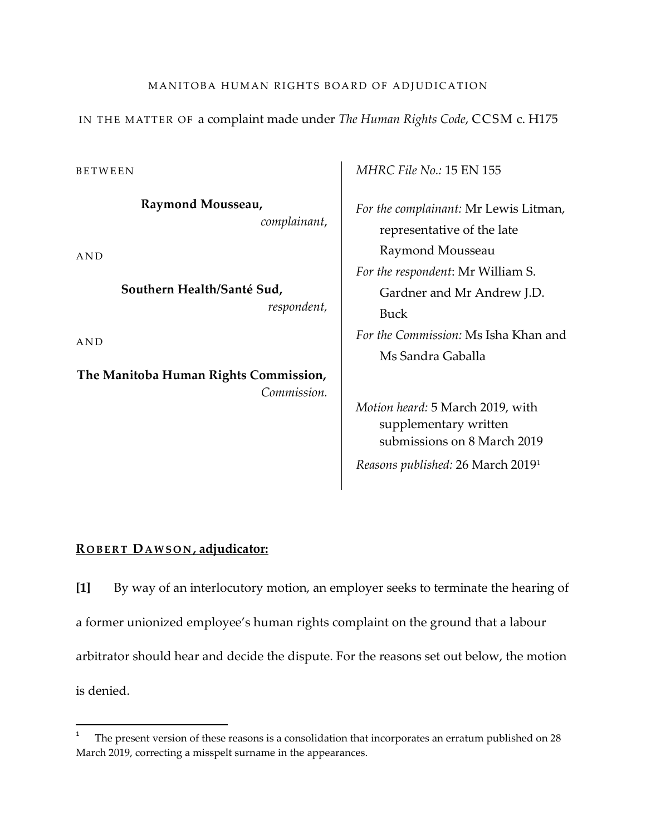## MANITOBA HUMAN RIGHTS BOARD OF ADJUDICATION

IN THE MATTER OF a complaint made under *The Human Rights Code*, CCSM c. H175

BETWEEN

**Raymond Mousseau,**  *complainant*,

AND

**Southern Health/Santé Sud,**  *respondent,*

AND

 $\overline{\phantom{a}}$ 

**The Manitoba Human Rights Commission,** *Commission.* *MHRC File No.:* 15 EN 155

*For the complainant:* Mr Lewis Litman, representative of the late Raymond Mousseau *For the respondent*: Mr William S. Gardner and Mr Andrew J.D. Buck *For the Commission:* Ms Isha Khan and Ms Sandra Gaballa

*Motion heard:* 5 March 2019, with supplementary written submissions on 8 March 2019 *Reasons published:* 26 March 20191

## **R OBERT DAWSON , adjudicator:**

**[1]** By way of an interlocutory motion, an employer seeks to terminate the hearing of a former unionized employee's human rights complaint on the ground that a labour arbitrator should hear and decide the dispute. For the reasons set out below, the motion is denied.

<sup>1</sup> The present version of these reasons is a consolidation that incorporates an erratum published on 28 March 2019, correcting a misspelt surname in the appearances.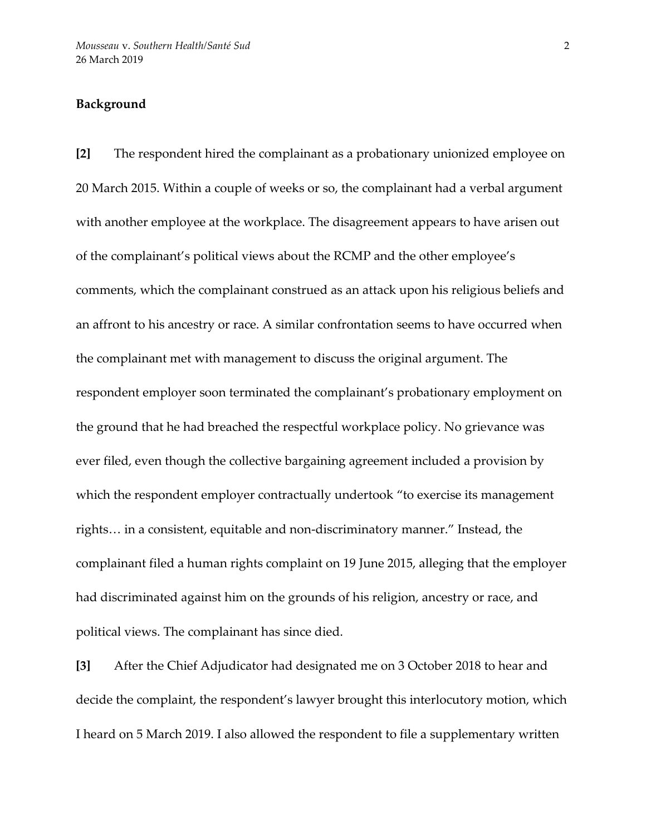## **Background**

**[2]** The respondent hired the complainant as a probationary unionized employee on 20 March 2015. Within a couple of weeks or so, the complainant had a verbal argument with another employee at the workplace. The disagreement appears to have arisen out of the complainant's political views about the RCMP and the other employee's comments, which the complainant construed as an attack upon his religious beliefs and an affront to his ancestry or race. A similar confrontation seems to have occurred when the complainant met with management to discuss the original argument. The respondent employer soon terminated the complainant's probationary employment on the ground that he had breached the respectful workplace policy. No grievance was ever filed, even though the collective bargaining agreement included a provision by which the respondent employer contractually undertook "to exercise its management rights… in a consistent, equitable and non-discriminatory manner." Instead, the complainant filed a human rights complaint on 19 June 2015, alleging that the employer had discriminated against him on the grounds of his religion, ancestry or race, and political views. The complainant has since died.

**[3]** After the Chief Adjudicator had designated me on 3 October 2018 to hear and decide the complaint, the respondent's lawyer brought this interlocutory motion, which I heard on 5 March 2019. I also allowed the respondent to file a supplementary written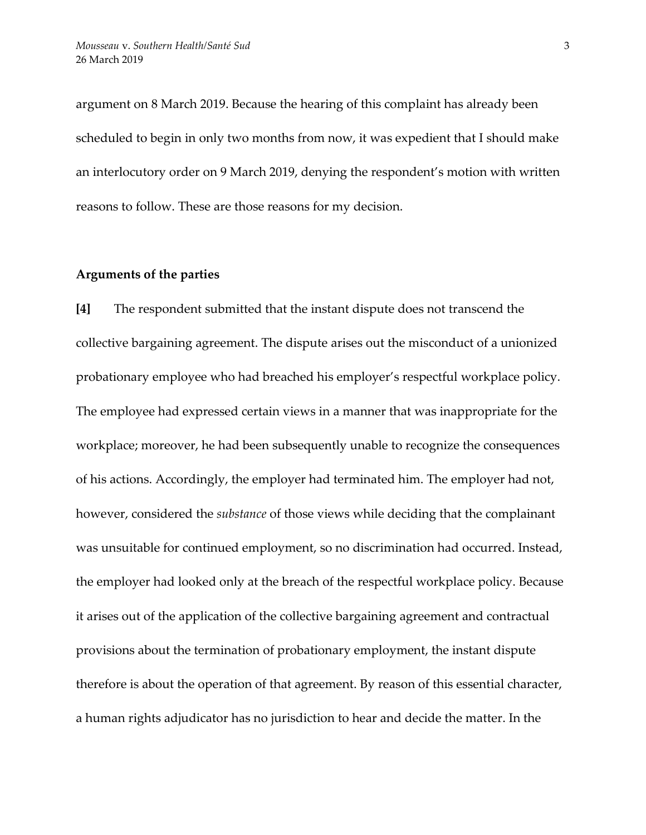argument on 8 March 2019. Because the hearing of this complaint has already been scheduled to begin in only two months from now, it was expedient that I should make an interlocutory order on 9 March 2019, denying the respondent's motion with written reasons to follow. These are those reasons for my decision.

### **Arguments of the parties**

**[4]** The respondent submitted that the instant dispute does not transcend the collective bargaining agreement. The dispute arises out the misconduct of a unionized probationary employee who had breached his employer's respectful workplace policy. The employee had expressed certain views in a manner that was inappropriate for the workplace; moreover, he had been subsequently unable to recognize the consequences of his actions. Accordingly, the employer had terminated him. The employer had not, however, considered the *substance* of those views while deciding that the complainant was unsuitable for continued employment, so no discrimination had occurred. Instead, the employer had looked only at the breach of the respectful workplace policy. Because it arises out of the application of the collective bargaining agreement and contractual provisions about the termination of probationary employment, the instant dispute therefore is about the operation of that agreement. By reason of this essential character, a human rights adjudicator has no jurisdiction to hear and decide the matter. In the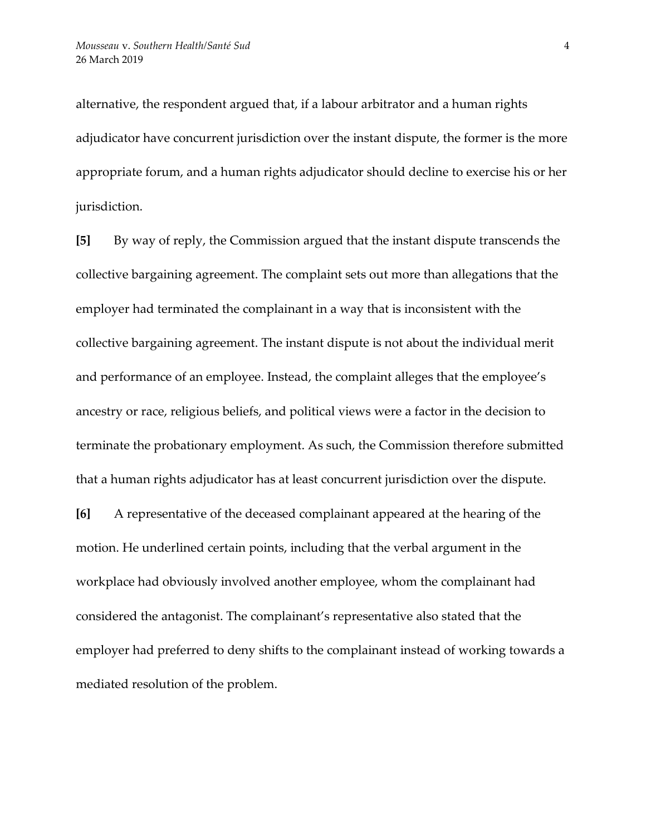alternative, the respondent argued that, if a labour arbitrator and a human rights adjudicator have concurrent jurisdiction over the instant dispute, the former is the more appropriate forum, and a human rights adjudicator should decline to exercise his or her jurisdiction.

**[5]** By way of reply, the Commission argued that the instant dispute transcends the collective bargaining agreement. The complaint sets out more than allegations that the employer had terminated the complainant in a way that is inconsistent with the collective bargaining agreement. The instant dispute is not about the individual merit and performance of an employee. Instead, the complaint alleges that the employee's ancestry or race, religious beliefs, and political views were a factor in the decision to terminate the probationary employment. As such, the Commission therefore submitted that a human rights adjudicator has at least concurrent jurisdiction over the dispute.

**[6]** A representative of the deceased complainant appeared at the hearing of the motion. He underlined certain points, including that the verbal argument in the workplace had obviously involved another employee, whom the complainant had considered the antagonist. The complainant's representative also stated that the employer had preferred to deny shifts to the complainant instead of working towards a mediated resolution of the problem.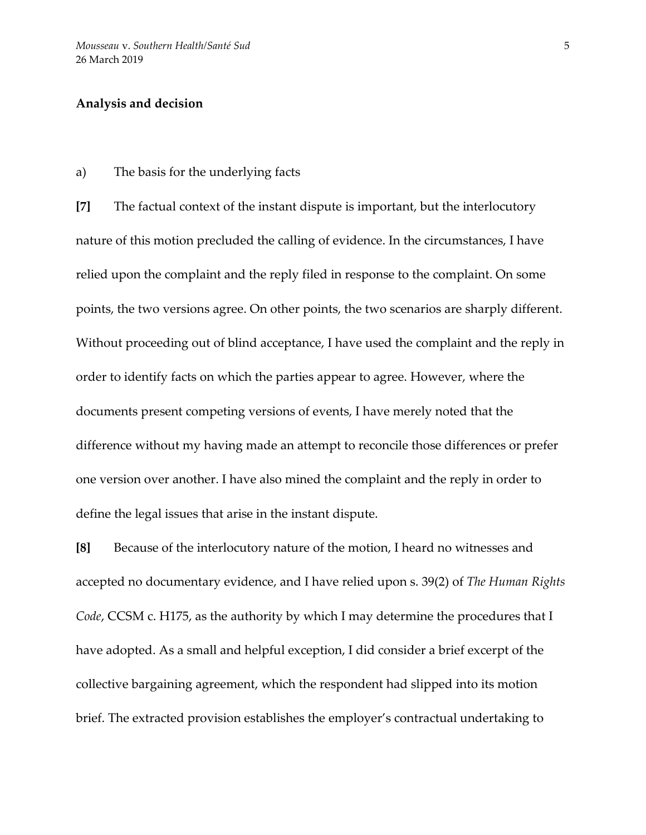#### **Analysis and decision**

a) The basis for the underlying facts

**[7]** The factual context of the instant dispute is important, but the interlocutory nature of this motion precluded the calling of evidence. In the circumstances, I have relied upon the complaint and the reply filed in response to the complaint. On some points, the two versions agree. On other points, the two scenarios are sharply different. Without proceeding out of blind acceptance, I have used the complaint and the reply in order to identify facts on which the parties appear to agree. However, where the documents present competing versions of events, I have merely noted that the difference without my having made an attempt to reconcile those differences or prefer one version over another. I have also mined the complaint and the reply in order to define the legal issues that arise in the instant dispute.

**[8]** Because of the interlocutory nature of the motion, I heard no witnesses and accepted no documentary evidence, and I have relied upon s. 39(2) of *The Human Rights Code*, CCSM c. H175, as the authority by which I may determine the procedures that I have adopted. As a small and helpful exception, I did consider a brief excerpt of the collective bargaining agreement, which the respondent had slipped into its motion brief. The extracted provision establishes the employer's contractual undertaking to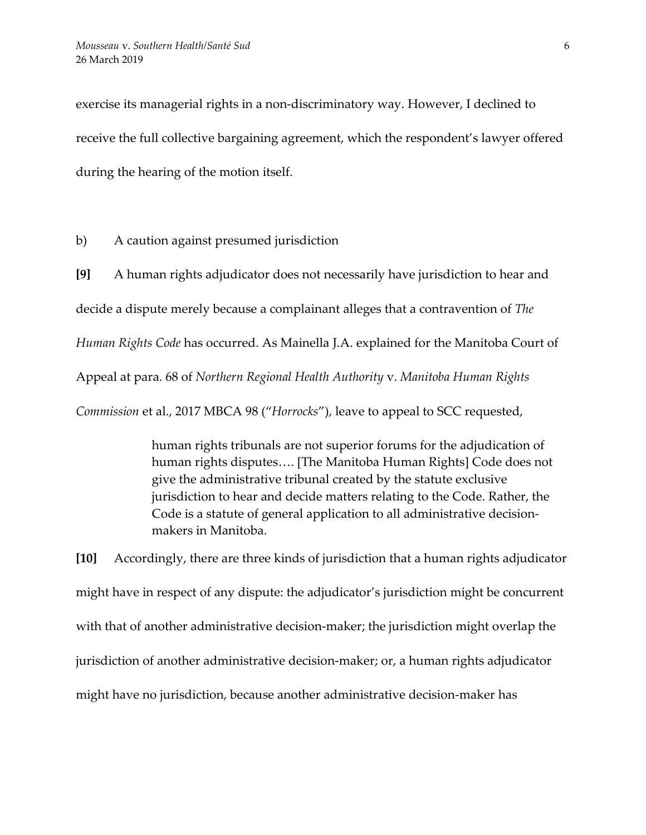exercise its managerial rights in a non-discriminatory way. However, I declined to receive the full collective bargaining agreement, which the respondent's lawyer offered during the hearing of the motion itself.

b) A caution against presumed jurisdiction

**[9]** A human rights adjudicator does not necessarily have jurisdiction to hear and decide a dispute merely because a complainant alleges that a contravention of *The Human Rights Code* has occurred. As Mainella J.A. explained for the Manitoba Court of Appeal at para. 68 of *Northern Regional Health Authority* v. *Manitoba Human Rights Commission* et al., 2017 MBCA 98 ("*Horrocks*"), leave to appeal to SCC requested,

> human rights tribunals are not superior forums for the adjudication of human rights disputes…. [The Manitoba Human Rights] Code does not give the administrative tribunal created by the statute exclusive jurisdiction to hear and decide matters relating to the Code. Rather, the Code is a statute of general application to all administrative decisionmakers in Manitoba.

**[10]** Accordingly, there are three kinds of jurisdiction that a human rights adjudicator might have in respect of any dispute: the adjudicator's jurisdiction might be concurrent with that of another administrative decision-maker; the jurisdiction might overlap the jurisdiction of another administrative decision-maker; or, a human rights adjudicator might have no jurisdiction, because another administrative decision-maker has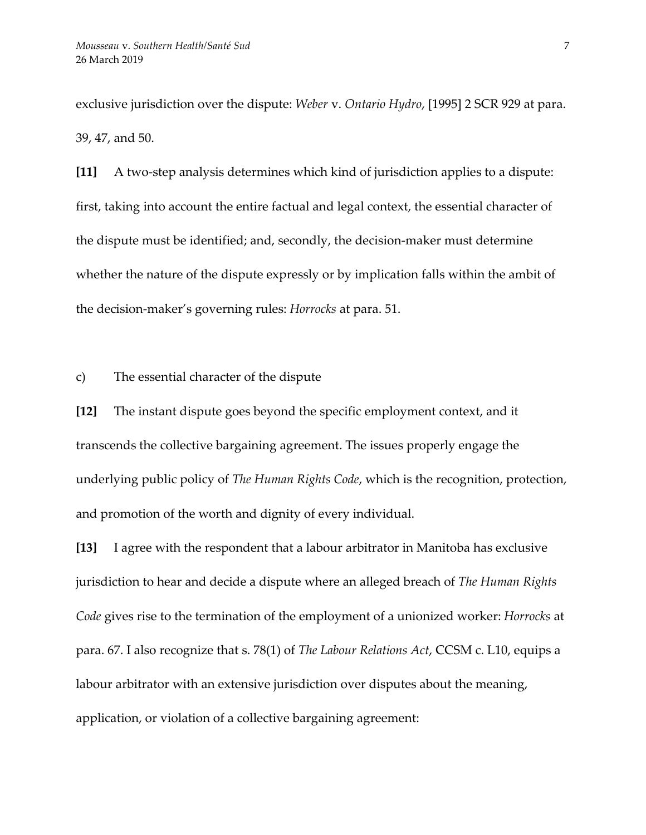exclusive jurisdiction over the dispute: *Weber* v. *Ontario Hydro*, [1995] 2 SCR 929 at para. 39, 47, and 50.

**[11]** A two-step analysis determines which kind of jurisdiction applies to a dispute: first, taking into account the entire factual and legal context, the essential character of the dispute must be identified; and, secondly, the decision-maker must determine whether the nature of the dispute expressly or by implication falls within the ambit of the decision-maker's governing rules: *Horrocks* at para. 51.

c) The essential character of the dispute

**[12]** The instant dispute goes beyond the specific employment context, and it transcends the collective bargaining agreement. The issues properly engage the underlying public policy of *The Human Rights Code*, which is the recognition, protection, and promotion of the worth and dignity of every individual.

**[13]** I agree with the respondent that a labour arbitrator in Manitoba has exclusive jurisdiction to hear and decide a dispute where an alleged breach of *The Human Rights Code* gives rise to the termination of the employment of a unionized worker: *Horrocks* at para. 67. I also recognize that s. 78(1) of *The Labour Relations Act*, CCSM c. L10, equips a labour arbitrator with an extensive jurisdiction over disputes about the meaning, application, or violation of a collective bargaining agreement: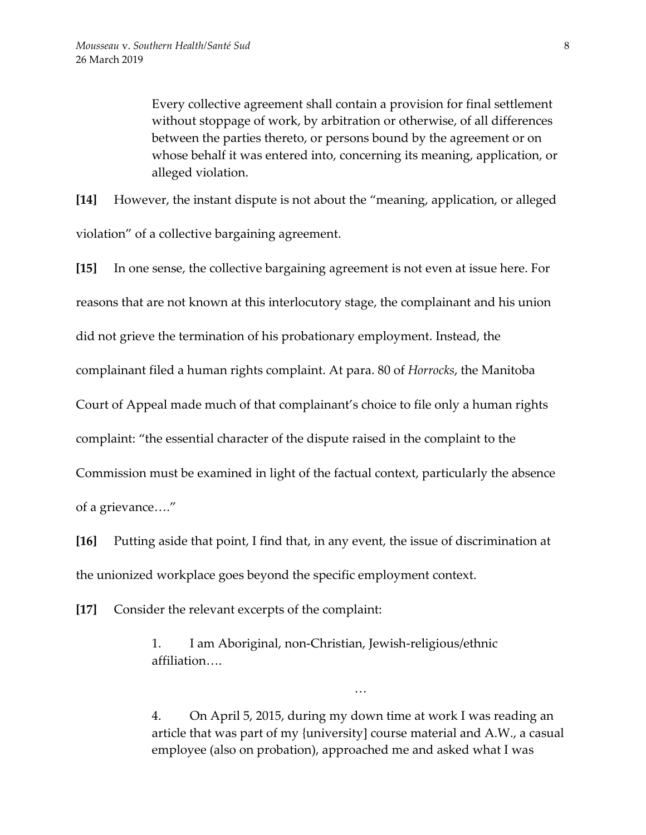Every collective agreement shall contain a provision for final settlement without stoppage of work, by arbitration or otherwise, of all differences between the parties thereto, or persons bound by the agreement or on whose behalf it was entered into, concerning its meaning, application, or alleged violation.

**[14]** However, the instant dispute is not about the "meaning, application, or alleged violation" of a collective bargaining agreement.

**[15]** In one sense, the collective bargaining agreement is not even at issue here. For reasons that are not known at this interlocutory stage, the complainant and his union did not grieve the termination of his probationary employment. Instead, the complainant filed a human rights complaint. At para. 80 of *Horrocks*, the Manitoba Court of Appeal made much of that complainant's choice to file only a human rights complaint: "the essential character of the dispute raised in the complaint to the Commission must be examined in light of the factual context, particularly the absence of a grievance…."

**[16]** Putting aside that point, I find that, in any event, the issue of discrimination at the unionized workplace goes beyond the specific employment context.

**[17]** Consider the relevant excerpts of the complaint:

1. I am Aboriginal, non-Christian, Jewish-religious/ethnic affiliation….

4. On April 5, 2015, during my down time at work I was reading an article that was part of my {university] course material and A.W., a casual employee (also on probation), approached me and asked what I was

…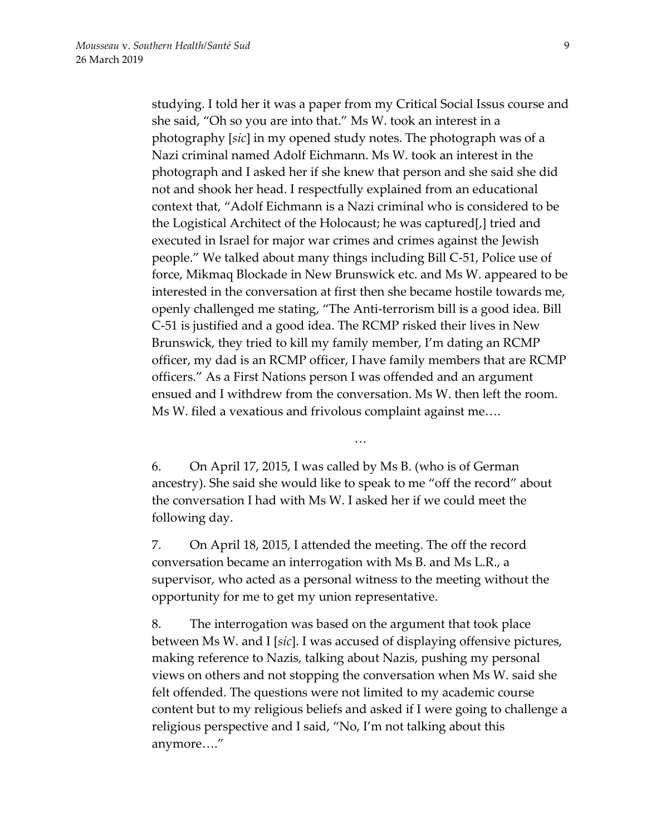studying. I told her it was a paper from my Critical Social Issus course and she said, "Oh so you are into that." Ms W. took an interest in a photography [*sic*] in my opened study notes. The photograph was of a Nazi criminal named Adolf Eichmann. Ms W. took an interest in the photograph and I asked her if she knew that person and she said she did not and shook her head. I respectfully explained from an educational context that, "Adolf Eichmann is a Nazi criminal who is considered to be the Logistical Architect of the Holocaust; he was captured[,] tried and executed in Israel for major war crimes and crimes against the Jewish people." We talked about many things including Bill C-51, Police use of force, Mikmaq Blockade in New Brunswick etc. and Ms W. appeared to be interested in the conversation at first then she became hostile towards me, openly challenged me stating, "The Anti-terrorism bill is a good idea. Bill C-51 is justified and a good idea. The RCMP risked their lives in New Brunswick, they tried to kill my family member, I'm dating an RCMP officer, my dad is an RCMP officer, I have family members that are RCMP officers." As a First Nations person I was offended and an argument ensued and I withdrew from the conversation. Ms W. then left the room. Ms W. filed a vexatious and frivolous complaint against me….

6. On April 17, 2015, I was called by Ms B. (who is of German ancestry). She said she would like to speak to me "off the record" about the conversation I had with Ms W. I asked her if we could meet the following day.

…

7. On April 18, 2015, I attended the meeting. The off the record conversation became an interrogation with Ms B. and Ms L.R., a supervisor, who acted as a personal witness to the meeting without the opportunity for me to get my union representative.

8. The interrogation was based on the argument that took place between Ms W. and I [*sic*]. I was accused of displaying offensive pictures, making reference to Nazis, talking about Nazis, pushing my personal views on others and not stopping the conversation when Ms W. said she felt offended. The questions were not limited to my academic course content but to my religious beliefs and asked if I were going to challenge a religious perspective and I said, "No, I'm not talking about this anymore…."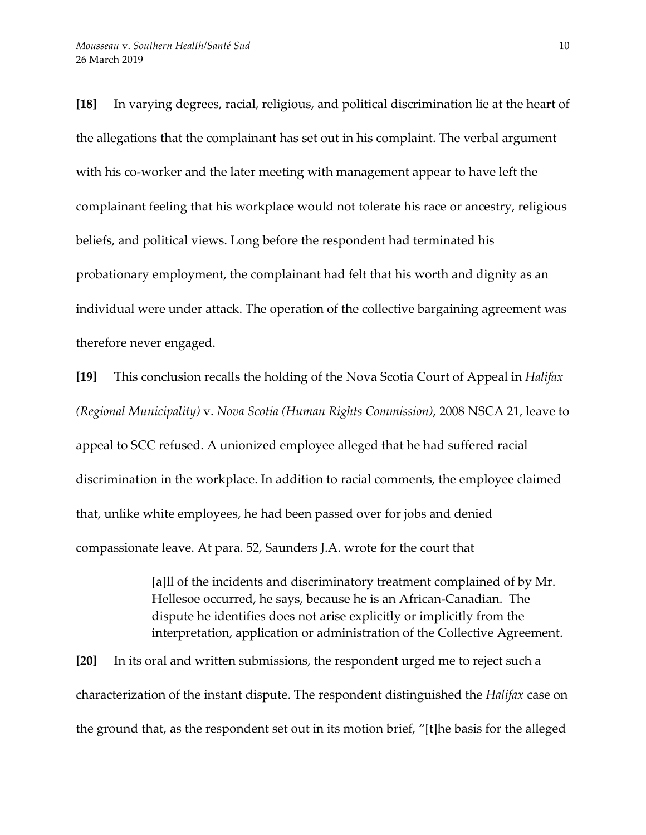**[18]** In varying degrees, racial, religious, and political discrimination lie at the heart of the allegations that the complainant has set out in his complaint. The verbal argument with his co-worker and the later meeting with management appear to have left the complainant feeling that his workplace would not tolerate his race or ancestry, religious beliefs, and political views. Long before the respondent had terminated his probationary employment, the complainant had felt that his worth and dignity as an individual were under attack. The operation of the collective bargaining agreement was therefore never engaged.

**[19]** This conclusion recalls the holding of the Nova Scotia Court of Appeal in *Halifax (Regional Municipality)* v. *Nova Scotia (Human Rights Commission)*, 2008 NSCA 21, leave to appeal to SCC refused. A unionized employee alleged that he had suffered racial discrimination in the workplace. In addition to racial comments, the employee claimed that, unlike white employees, he had been passed over for jobs and denied compassionate leave. At para. 52, Saunders J.A. wrote for the court that

> [a]ll of the incidents and discriminatory treatment complained of by Mr. Hellesoe occurred, he says, because he is an African-Canadian. The dispute he identifies does not arise explicitly or implicitly from the interpretation, application or administration of the Collective Agreement.

**[20]** In its oral and written submissions, the respondent urged me to reject such a characterization of the instant dispute. The respondent distinguished the *Halifax* case on the ground that, as the respondent set out in its motion brief, "[t]he basis for the alleged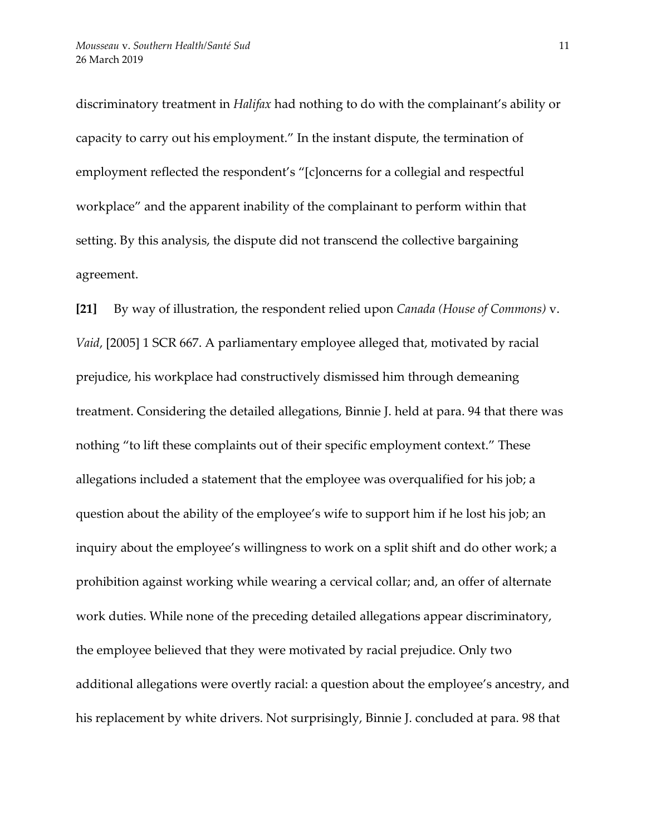discriminatory treatment in *Halifax* had nothing to do with the complainant's ability or capacity to carry out his employment." In the instant dispute, the termination of employment reflected the respondent's "[c]oncerns for a collegial and respectful workplace" and the apparent inability of the complainant to perform within that setting. By this analysis, the dispute did not transcend the collective bargaining agreement.

**[21]** By way of illustration, the respondent relied upon *Canada (House of Commons)* v. *Vaid*, [2005] 1 SCR 667. A parliamentary employee alleged that, motivated by racial prejudice, his workplace had constructively dismissed him through demeaning treatment. Considering the detailed allegations, Binnie J. held at para. 94 that there was nothing "to lift these complaints out of their specific employment context." These allegations included a statement that the employee was overqualified for his job; a question about the ability of the employee's wife to support him if he lost his job; an inquiry about the employee's willingness to work on a split shift and do other work; a prohibition against working while wearing a cervical collar; and, an offer of alternate work duties. While none of the preceding detailed allegations appear discriminatory, the employee believed that they were motivated by racial prejudice. Only two additional allegations were overtly racial: a question about the employee's ancestry, and his replacement by white drivers. Not surprisingly, Binnie J. concluded at para. 98 that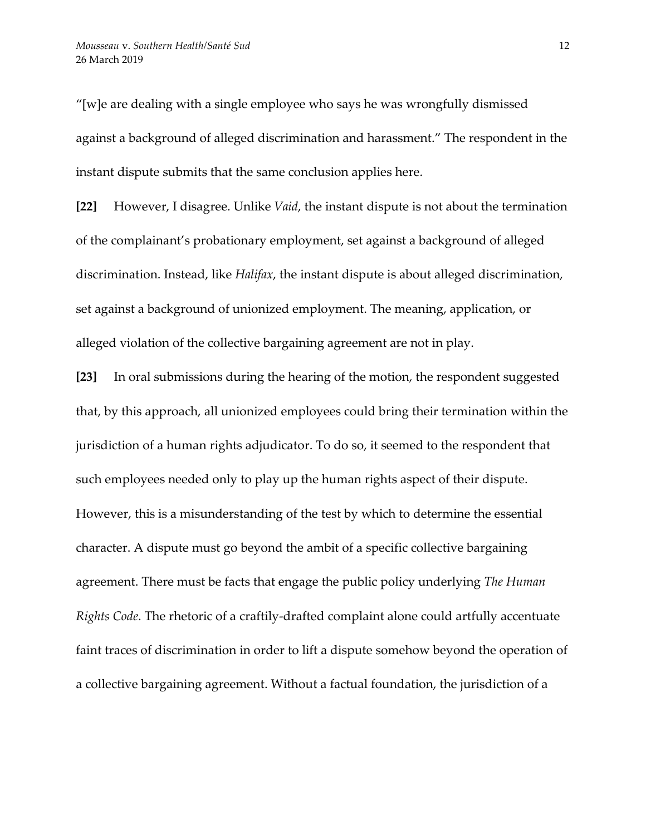"[w]e are dealing with a single employee who says he was wrongfully dismissed against a background of alleged discrimination and harassment." The respondent in the instant dispute submits that the same conclusion applies here.

**[22]** However, I disagree. Unlike *Vaid*, the instant dispute is not about the termination of the complainant's probationary employment, set against a background of alleged discrimination. Instead, like *Halifax*, the instant dispute is about alleged discrimination, set against a background of unionized employment. The meaning, application, or alleged violation of the collective bargaining agreement are not in play.

**[23]** In oral submissions during the hearing of the motion, the respondent suggested that, by this approach, all unionized employees could bring their termination within the jurisdiction of a human rights adjudicator. To do so, it seemed to the respondent that such employees needed only to play up the human rights aspect of their dispute. However, this is a misunderstanding of the test by which to determine the essential character. A dispute must go beyond the ambit of a specific collective bargaining agreement. There must be facts that engage the public policy underlying *The Human Rights Code*. The rhetoric of a craftily-drafted complaint alone could artfully accentuate faint traces of discrimination in order to lift a dispute somehow beyond the operation of a collective bargaining agreement. Without a factual foundation, the jurisdiction of a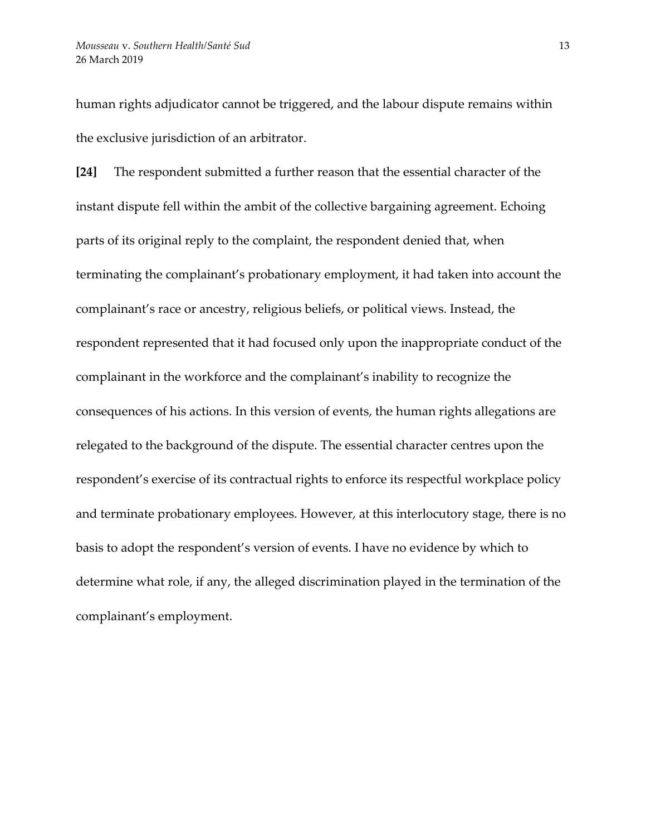human rights adjudicator cannot be triggered, and the labour dispute remains within the exclusive jurisdiction of an arbitrator.

**[24]** The respondent submitted a further reason that the essential character of the instant dispute fell within the ambit of the collective bargaining agreement. Echoing parts of its original reply to the complaint, the respondent denied that, when terminating the complainant's probationary employment, it had taken into account the complainant's race or ancestry, religious beliefs, or political views. Instead, the respondent represented that it had focused only upon the inappropriate conduct of the complainant in the workforce and the complainant's inability to recognize the consequences of his actions. In this version of events, the human rights allegations are relegated to the background of the dispute. The essential character centres upon the respondent's exercise of its contractual rights to enforce its respectful workplace policy and terminate probationary employees. However, at this interlocutory stage, there is no basis to adopt the respondent's version of events. I have no evidence by which to determine what role, if any, the alleged discrimination played in the termination of the complainant's employment.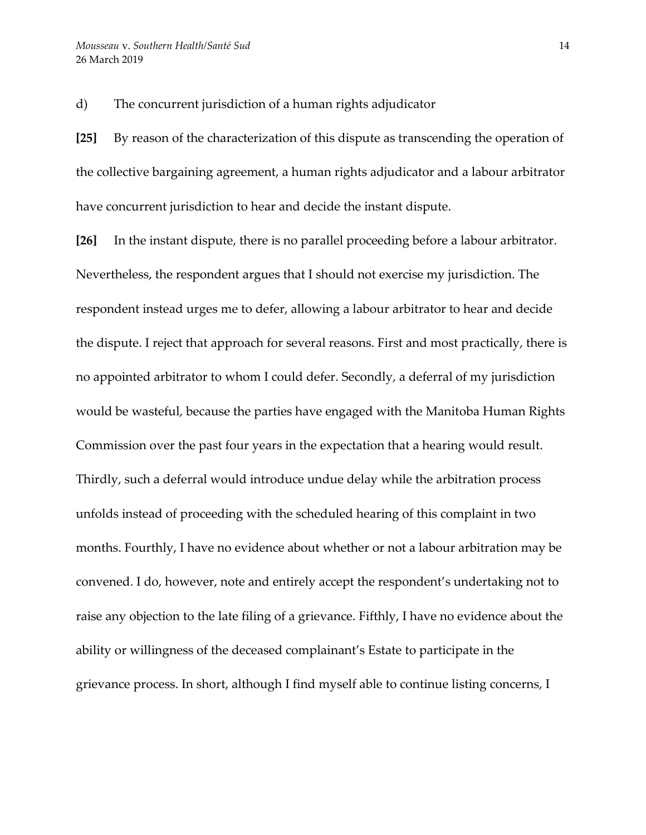d) The concurrent jurisdiction of a human rights adjudicator

**[25]** By reason of the characterization of this dispute as transcending the operation of the collective bargaining agreement, a human rights adjudicator and a labour arbitrator have concurrent jurisdiction to hear and decide the instant dispute.

**[26]** In the instant dispute, there is no parallel proceeding before a labour arbitrator. Nevertheless, the respondent argues that I should not exercise my jurisdiction. The respondent instead urges me to defer, allowing a labour arbitrator to hear and decide the dispute. I reject that approach for several reasons. First and most practically, there is no appointed arbitrator to whom I could defer. Secondly, a deferral of my jurisdiction would be wasteful, because the parties have engaged with the Manitoba Human Rights Commission over the past four years in the expectation that a hearing would result. Thirdly, such a deferral would introduce undue delay while the arbitration process unfolds instead of proceeding with the scheduled hearing of this complaint in two months. Fourthly, I have no evidence about whether or not a labour arbitration may be convened. I do, however, note and entirely accept the respondent's undertaking not to raise any objection to the late filing of a grievance. Fifthly, I have no evidence about the ability or willingness of the deceased complainant's Estate to participate in the grievance process. In short, although I find myself able to continue listing concerns, I